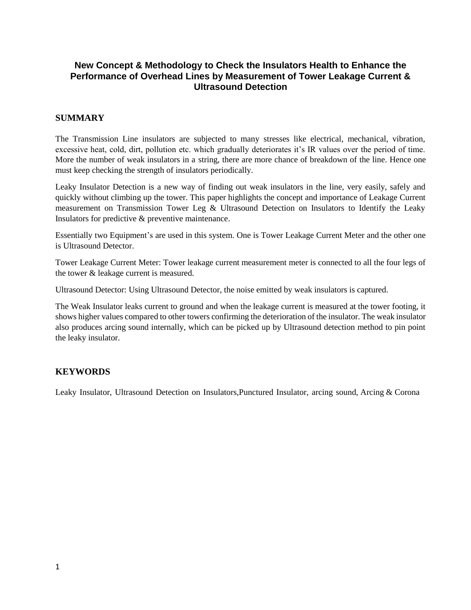### **New Concept & Methodology to Check the Insulators Health to Enhance the Performance of Overhead Lines by Measurement of Tower Leakage Current & Ultrasound Detection**

#### **SUMMARY**

The Transmission Line insulators are subjected to many stresses like electrical, mechanical, vibration, excessive heat, cold, dirt, pollution etc. which gradually deteriorates it's IR values over the period of time. More the number of weak insulators in a string, there are more chance of breakdown of the line. Hence one must keep checking the strength of insulators periodically.

Leaky Insulator Detection is a new way of finding out weak insulators in the line, very easily, safely and quickly without climbing up the tower. This paper highlights the concept and importance of Leakage Current measurement on Transmission Tower Leg  $\&$  Ultrasound Detection on Insulators to Identify the Leaky Insulators for predictive & preventive maintenance.

Essentially two Equipment's are used in this system. One is Tower Leakage Current Meter and the other one is Ultrasound Detector.

Tower Leakage Current Meter: Tower leakage current measurement meter is connected to all the four legs of the tower & leakage current is measured.

Ultrasound Detector: Using Ultrasound Detector, the noise emitted by weak insulators is captured.

The Weak Insulator leaks current to ground and when the leakage current is measured at the tower footing, it shows higher values compared to other towers confirming the deterioration of the insulator. The weak insulator also produces arcing sound internally, which can be picked up by Ultrasound detection method to pin point the leaky insulator.

#### **KEYWORDS**

Leaky Insulator, Ultrasound Detection on Insulators,Punctured Insulator, arcing sound, Arcing & Corona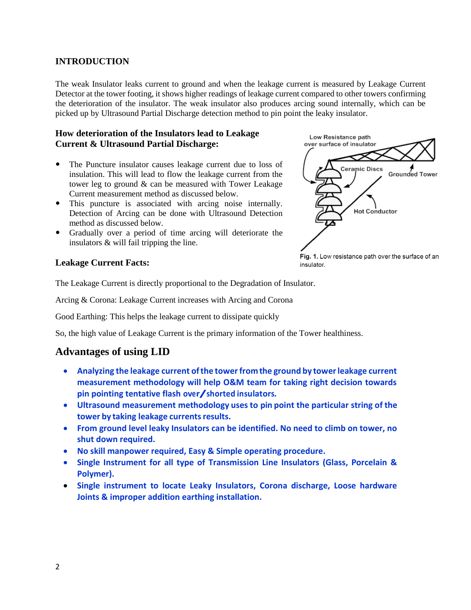### **INTRODUCTION**

The weak Insulator leaks current to ground and when the leakage current is measured by Leakage Current Detector at the tower footing, it shows higher readings of leakage current compared to other towers confirming the deterioration of the insulator. The weak insulator also produces arcing sound internally, which can be picked up by Ultrasound Partial Discharge detection method to pin point the leaky insulator.

#### **How deterioration of the Insulators lead to Leakage Current & Ultrasound Partial Discharge:**

- The Puncture insulator causes leakage current due to loss of insulation. This will lead to flow the leakage current from the tower leg to ground & can be measured with Tower Leakage Current measurement method as discussed below.
- This puncture is associated with arcing noise internally. Detection of Arcing can be done with Ultrasound Detection method as discussed below.
- Gradually over a period of time arcing will deteriorate the insulators & will fail tripping the line.



insulator.

#### **Leakage Current Facts:**

The Leakage Current is directly proportional to the Degradation of Insulator.

Arcing & Corona: Leakage Current increases with Arcing and Corona

Good Earthing: This helps the leakage current to dissipate quickly

So, the high value of Leakage Current is the primary information of the Tower healthiness.

# **Advantages of using LID**

- **Analyzing the leakage current ofthe towerfromthe ground by towerleakage current measurement methodology will help O&M team for taking right decision towards pin pointing tentative flash over/shorted insulators.**
- **Ultrasound measurement methodology uses to pin point the particular string of the tower by taking leakage currentsresults.**
- **From ground level leaky Insulators can be identified. No need to climb on tower, no shut down required.**
- **No skill manpower required, Easy & Simple operating procedure.**
- **Single Instrument for all type of Transmission Line Insulators (Glass, Porcelain & Polymer).**
- **Single instrument to locate Leaky Insulators, Corona discharge, Loose hardware Joints & improper addition earthing installation.**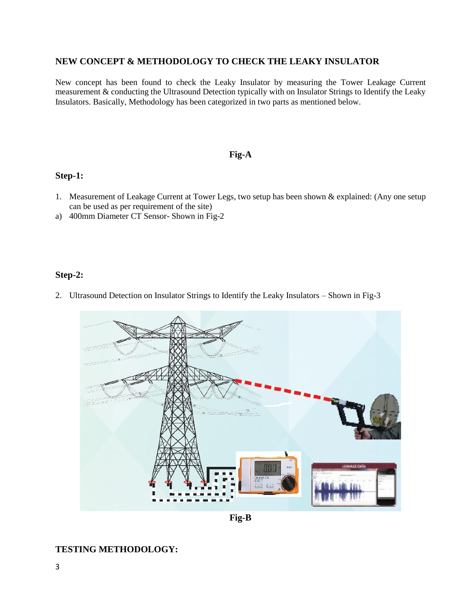#### **NEW CONCEPT & METHODOLOGY TO CHECK THE LEAKY INSULATOR**

New concept has been found to check the Leaky Insulator by measuring the Tower Leakage Current measurement & conducting the Ultrasound Detection typically with on Insulator Strings to Identify the Leaky Insulators. Basically, Methodology has been categorized in two parts as mentioned below.

### **Fig-A**

#### **Step-1:**

- 1. Measurement of Leakage Current at Tower Legs, two setup has been shown & explained: (Any one setup can be used as per requirement of the site)
- a) 400mm Diameter CT Sensor- Shown in Fig-2

#### **Step-2:**

2. Ultrasound Detection on Insulator Strings to Identify the Leaky Insulators – Shown in Fig-3



**Fig-B**

#### **TESTING METHODOLOGY:**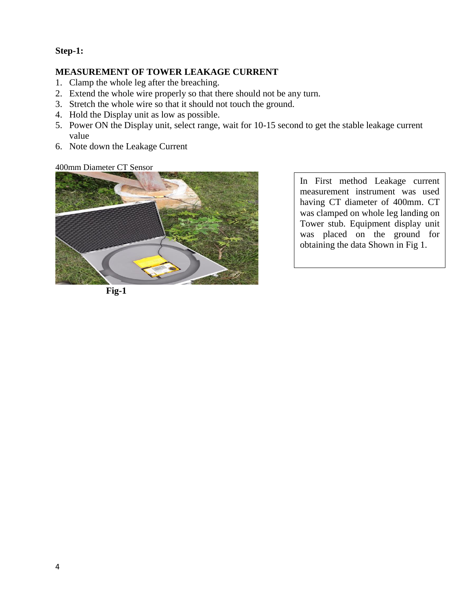### **Step-1:**

### **MEASUREMENT OF TOWER LEAKAGE CURRENT**

- 1. Clamp the whole leg after the breaching.
- 2. Extend the whole wire properly so that there should not be any turn.
- 3. Stretch the whole wire so that it should not touch the ground.
- 4. Hold the Display unit as low as possible.
- 5. Power ON the Display unit, select range, wait for 10-15 second to get the stable leakage current value
- 6. Note down the Leakage Current

400mm Diameter CT Sensor



In First method Leakage current measurement instrument was used having CT diameter of 400mm. CT was clamped on whole leg landing on Tower stub. Equipment display unit was placed on the ground for obtaining the data Shown in Fig 1.

**Fig-1**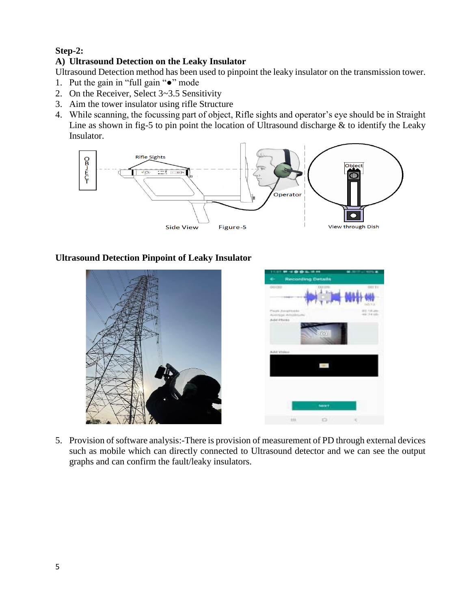# **Step-2:**

## **A) Ultrasound Detection on the Leaky Insulator**

Ultrasound Detection method has been used to pinpoint the leaky insulator on the transmission tower.

- 1. Put the gain in "full gain "●" mode
- 2. On the Receiver, Select 3~3.5 Sensitivity
- 3. Aim the tower insulator using rifle Structure
- 4. While scanning, the focussing part of object, Rifle sights and operator's eye should be in Straight Line as shown in fig-5 to pin point the location of Ultrasound discharge  $\&$  to identify the Leaky Insulator.



### **Ultrasound Detection Pinpoint of Leaky Insulator**



5. Provision of software analysis:-There is provision of measurement of PD through external devices such as mobile which can directly connected to Ultrasound detector and we can see the output graphs and can confirm the fault/leaky insulators.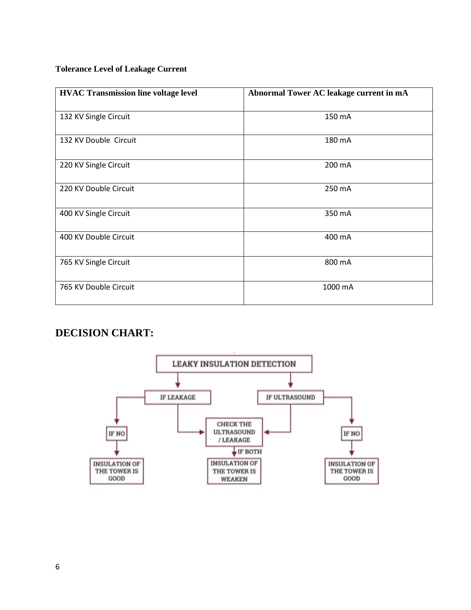#### **Tolerance Level of Leakage Current**

| <b>HVAC Transmission line voltage level</b> | Abnormal Tower AC leakage current in mA |  |  |  |  |  |  |
|---------------------------------------------|-----------------------------------------|--|--|--|--|--|--|
| 132 KV Single Circuit                       | 150 mA                                  |  |  |  |  |  |  |
| 132 KV Double Circuit                       | 180 mA                                  |  |  |  |  |  |  |
| 220 KV Single Circuit                       | 200 mA                                  |  |  |  |  |  |  |
| 220 KV Double Circuit                       | 250 mA                                  |  |  |  |  |  |  |
| 400 KV Single Circuit                       | 350 mA                                  |  |  |  |  |  |  |
| 400 KV Double Circuit                       | 400 mA                                  |  |  |  |  |  |  |
| 765 KV Single Circuit                       | 800 mA                                  |  |  |  |  |  |  |
| 765 KV Double Circuit                       | 1000 mA                                 |  |  |  |  |  |  |

# **DECISION CHART:**

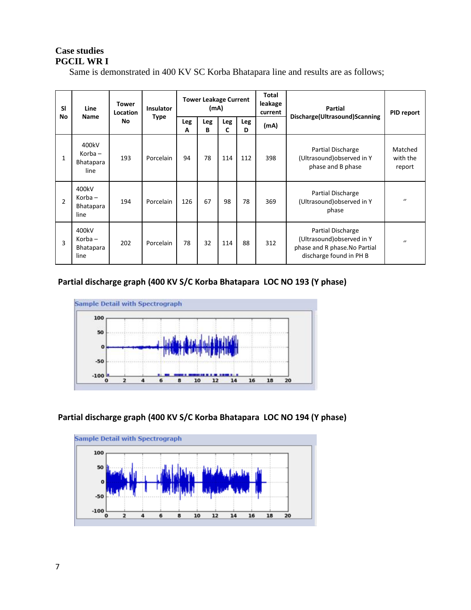### **Case studies PGCIL WR I**

Same is demonstrated in 400 KV SC Korba Bhatapara line and results are as follows;

| <b>SI</b><br>No | Line<br><b>Name</b>                               | Tower<br>Location | <b>Insulator</b><br>Type | <b>Tower Leakage Current</b><br>(mA) |          |          |          | Total<br>leakage<br>current           | <b>Partial</b>                                                                                              | <b>PID report</b>             |
|-----------------|---------------------------------------------------|-------------------|--------------------------|--------------------------------------|----------|----------|----------|---------------------------------------|-------------------------------------------------------------------------------------------------------------|-------------------------------|
|                 |                                                   | No                |                          | Leg<br>A                             | Leg<br>В | Leg<br>C | Leg<br>D | Discharge(Ultrasound)Scanning<br>(mA) |                                                                                                             |                               |
| 1               | 400kV<br>$K$ orba $-$<br><b>Bhatapara</b><br>line | 193               | Porcelain                | 94                                   | 78       | 114      | 112      | 398                                   | Partial Discharge<br>(Ultrasound) observed in Y<br>phase and B phase                                        | Matched<br>with the<br>report |
| $\overline{2}$  | 400kV<br>$K$ orba $-$<br><b>Bhatapara</b><br>line | 194               | Porcelain                | 126                                  | 67       | 98       | 78       | 369                                   | Partial Discharge<br>(Ultrasound) observed in Y<br>phase                                                    | $\prime\prime$                |
| 3               | 400kV<br>$K$ orba –<br><b>Bhatapara</b><br>line   | 202               | Porcelain                | 78                                   | 32       | 114      | 88       | 312                                   | Partial Discharge<br>(Ultrasound) observed in Y<br>phase and R phase. No Partial<br>discharge found in PH B | $\prime\prime$                |

### **Partial discharge graph (400 KV S/C Korba Bhatapara LOC NO 193 (Y phase)**



## **Partial discharge graph (400 KV S/C Korba Bhatapara LOC NO 194 (Y phase)**

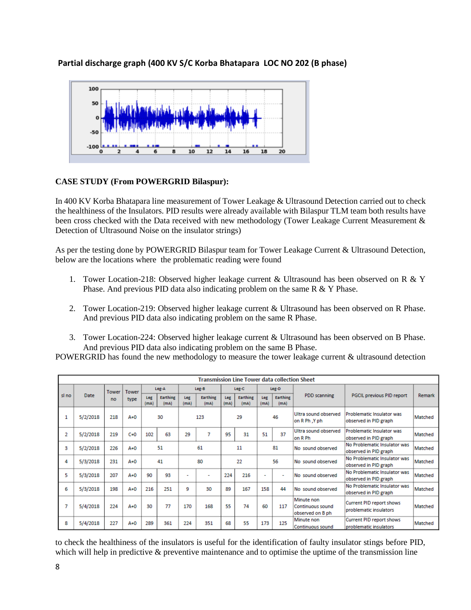**Partial discharge graph (400 KV S/C Korba Bhatapara LOC NO 202 (B phase)**



#### **CASE STUDY (From POWERGRID Bilaspur):**

In 400 KV Korba Bhatapara line measurement of Tower Leakage & Ultrasound Detection carried out to check the healthiness of the Insulators. PID results were already available with Bilaspur TLM team both results have been cross checked with the Data received with new methodology (Tower Leakage Current Measurement & Detection of Ultrasound Noise on the insulator strings)

As per the testing done by POWERGRID Bilaspur team for Tower Leakage Current & Ultrasound Detection, below are the locations where the problematic reading were found

- 1. Tower Location-218: Observed higher leakage current & Ultrasound has been observed on R & Y Phase. And previous PID data also indicating problem on the same R & Y Phase.
- 2. Tower Location-219: Observed higher leakage current & Ultrasound has been observed on R Phase. And previous PID data also indicating problem on the same R Phase.
- 3. Tower Location-224: Observed higher leakage current & Ultrasound has been observed on B Phase. And previous PID data also indicating problem on the same B Phase.

POWERGRID has found the new methodology to measure the tower leakage current & ultrasound detection

|       | <b>Transmission Line Tower data collection Sheet</b> |              |              |             |                  |                    |                         |             |                         |             |                          |                                                           |                                                           |               |  |                                        |                                                    |         |
|-------|------------------------------------------------------|--------------|--------------|-------------|------------------|--------------------|-------------------------|-------------|-------------------------|-------------|--------------------------|-----------------------------------------------------------|-----------------------------------------------------------|---------------|--|----------------------------------------|----------------------------------------------------|---------|
|       |                                                      | <b>Tower</b> | <b>Tower</b> |             | Leg-A            | Leg-B              |                         |             | Leg-C                   |             | Leg-D                    |                                                           |                                                           |               |  |                                        |                                                    |         |
| sl no | Date                                                 | no           | type         | Leg<br>(mA) | Earthing<br>(mA) | <b>Leg</b><br>(mA) | <b>Earthing</b><br>(mA) | Leg<br>(mA) | <b>Earthing</b><br>(mA) | Leg<br>(mA) | Earthing<br>(mA)         | <b>PDD</b> scanning                                       | PGCIL previous PID report                                 | <b>Remark</b> |  |                                        |                                                    |         |
|       | 5/2/2018                                             | 218          | $A+0$        |             | 30               |                    | 123                     | 29          |                         | 46          |                          |                                                           |                                                           |               |  | Ultra sound observed<br>on R Ph , Y ph | Problematic Insulator was<br>observed in PID graph | Matched |
| 2     | 5/2/2018                                             | 219          | $C+0$        | 102         | 63               | 29                 | 7                       | 95          | 31                      | 51          | 37                       | Ultra sound observed<br>on R Ph                           | Problematic Insulator was<br>observed in PID graph        | Matched       |  |                                        |                                                    |         |
| з     | 5/2/2018                                             | 226          | $A+0$        |             | 51               |                    | 61                      |             | 11                      | 81          |                          | No sound observed                                         | No Problematic Insulator was<br>observed in PID graph     | Matched       |  |                                        |                                                    |         |
| 4     | 5/3/2018                                             | 231          | $A+0$        |             | 41               |                    | 80                      |             | 22                      |             | 56                       | No sound observed                                         | No Problematic Insulator was<br>observed in PID graph     | Matched       |  |                                        |                                                    |         |
| 5     | 5/3/2018                                             | 207          | $A+0$        | 90          | 93               |                    |                         | 224         | 216                     |             | $\overline{\phantom{a}}$ | No. sound observed.                                       | No Problematic Insulator was<br>observed in PID graph     | Matched       |  |                                        |                                                    |         |
| 6     | 5/3/2018                                             | 198          | $A+0$        | 216         | 251              | 9                  | 30                      | 89          | 167                     | 158         | 44                       | No sound observed                                         | No Problematic Insulator was<br>observed in PID graph     | Matched       |  |                                        |                                                    |         |
| 7     | 5/4/2018                                             | 224          | $A+0$        | 30          | 77               | 170                | 168                     | 55          | 74                      | 60          | 117                      | Minute non<br><b>Continuous sound</b><br>observed on B ph | <b>Current PID report shows</b><br>problematic insulators | Matched       |  |                                        |                                                    |         |
| 8     | 5/4/2018                                             | 227          | $A+0$        | 289         | 361              | 224                | 351                     | 68          | 55                      | 173         | 125                      | Minute non<br><b>Continuous sound</b>                     | Current PID report shows<br>problematic insulators        | Matched       |  |                                        |                                                    |         |

to check the healthiness of the insulators is useful for the identification of faulty insulator stings before PID, which will help in predictive & preventive maintenance and to optimise the uptime of the transmission line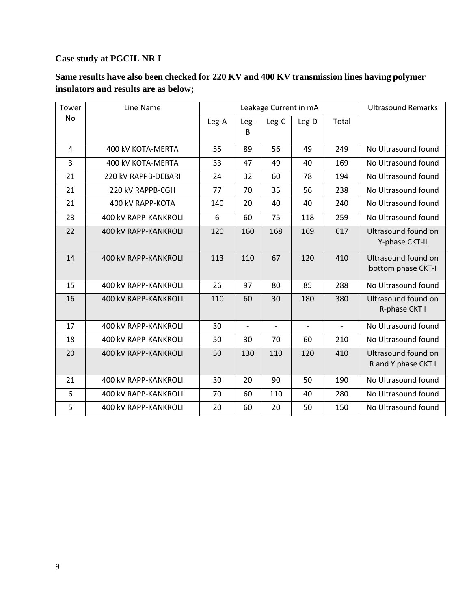### **Case study at PGCIL NR I**

# **Same results have also been checked for 220 KV and 400 KV transmission lines having polymer insulators and results are as below;**

| Tower | Line Name                   |       | Leakage Current in mA    | <b>Ultrasound Remarks</b> |                          |                |                                            |
|-------|-----------------------------|-------|--------------------------|---------------------------|--------------------------|----------------|--------------------------------------------|
| No    |                             | Leg-A | Leg-<br>B                | Leg-C                     | Leg-D                    | Total          |                                            |
| 4     | 400 kV KOTA-MERTA           | 55    | 89                       | 56                        | 49                       | 249            | No Ultrasound found                        |
| 3     | 400 kV KOTA-MERTA           | 33    | 47                       | 49                        | 40                       | 169            | No Ultrasound found                        |
| 21    | 220 kV RAPPB-DEBARI         | 24    | 32                       | 60                        | 78                       | 194            | No Ultrasound found                        |
| 21    | 220 kV RAPPB-CGH            | 77    | 70                       | 35                        | 56                       | 238            | No Ultrasound found                        |
| 21    | 400 kV RAPP-KOTA            | 140   | 20                       | 40                        | 40                       | 240            | No Ultrasound found                        |
| 23    | <b>400 kV RAPP-KANKROLI</b> | 6     | 60                       | 75                        | 118                      | 259            | No Ultrasound found                        |
| 22    | 400 kV RAPP-KANKROLI        | 120   | 160                      | 168                       | 169                      | 617            | Ultrasound found on<br>Y-phase CKT-II      |
| 14    | 400 kV RAPP-KANKROLI        | 113   | 110                      | 67                        | 120                      | 410            | Ultrasound found on<br>bottom phase CKT-I  |
| 15    | 400 kV RAPP-KANKROLI        | 26    | 97                       | 80                        | 85                       | 288            | No Ultrasound found                        |
| 16    | 400 kV RAPP-KANKROLI        | 110   | 60                       | 30                        | 180                      | 380            | Ultrasound found on<br>R-phase CKT I       |
| 17    | <b>400 kV RAPP-KANKROLI</b> | 30    | $\overline{\phantom{a}}$ | $\overline{\phantom{0}}$  | $\overline{\phantom{a}}$ | $\blacksquare$ | No Ultrasound found                        |
| 18    | 400 kV RAPP-KANKROLI        | 50    | 30                       | 70                        | 60                       | 210            | No Ultrasound found                        |
| 20    | 400 kV RAPP-KANKROLI        | 50    | 130                      | 110                       | 120                      | 410            | Ultrasound found on<br>R and Y phase CKT I |
| 21    | 400 kV RAPP-KANKROLI        | 30    | 20                       | 90                        | 50                       | 190            | No Ultrasound found                        |
| 6     | 400 kV RAPP-KANKROLI        | 70    | 60                       | 110                       | 40                       | 280            | No Ultrasound found                        |
| 5     | <b>400 kV RAPP-KANKROLI</b> | 20    | 60                       | 20                        | 50                       | 150            | No Ultrasound found                        |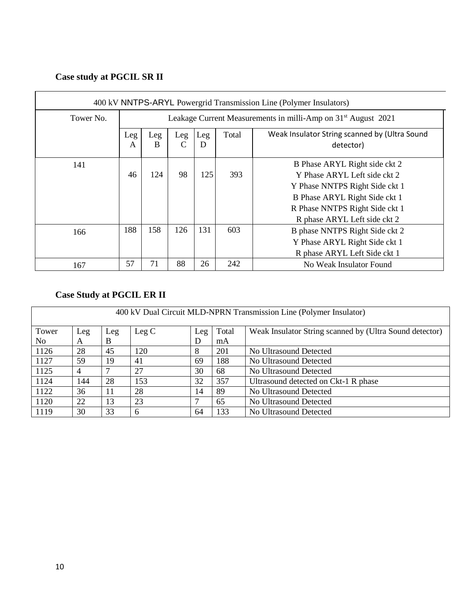# **Case study at PGCIL SR II**

| 400 kV NNTPS-ARYL Powergrid Transmission Line (Polymer Insulators) |                                                                                                                |                                                                           |     |     |     |                                                                                                                                                                                                    |  |  |  |  |  |  |  |
|--------------------------------------------------------------------|----------------------------------------------------------------------------------------------------------------|---------------------------------------------------------------------------|-----|-----|-----|----------------------------------------------------------------------------------------------------------------------------------------------------------------------------------------------------|--|--|--|--|--|--|--|
| Tower No.                                                          |                                                                                                                | Leakage Current Measurements in milli-Amp on 31 <sup>st</sup> August 2021 |     |     |     |                                                                                                                                                                                                    |  |  |  |  |  |  |  |
|                                                                    | Weak Insulator String scanned by (Ultra Sound<br>Total<br>Leg<br>Leg<br>Leg<br>Leg<br>B<br>D<br>detector)<br>A |                                                                           |     |     |     |                                                                                                                                                                                                    |  |  |  |  |  |  |  |
| 141                                                                | 46<br>98<br>125<br>124<br>393                                                                                  |                                                                           |     |     |     | B Phase ARYL Right side ckt 2<br>Y Phase ARYL Left side ckt 2<br>Y Phase NNTPS Right Side ckt 1<br>B Phase ARYL Right Side ckt 1<br>R Phase NNTPS Right Side ckt 1<br>R phase ARYL Left side ckt 2 |  |  |  |  |  |  |  |
| 166                                                                | 188                                                                                                            | 158                                                                       | 126 | 131 | 603 | B phase NNTPS Right Side ckt 2<br>Y Phase ARYL Right Side ckt 1<br>R phase ARYL Left Side ckt 1                                                                                                    |  |  |  |  |  |  |  |
| 167                                                                | 57                                                                                                             | 71                                                                        | 88  | 26  | 242 | No Weak Insulator Found                                                                                                                                                                            |  |  |  |  |  |  |  |

# **Case Study at PGCIL ER II**

| 400 kV Dual Circuit MLD-NPRN Transmission Line (Polymer Insulator) |     |     |       |     |       |                                                         |  |  |  |  |
|--------------------------------------------------------------------|-----|-----|-------|-----|-------|---------------------------------------------------------|--|--|--|--|
| Tower                                                              | Leg | Leg | Leg C | Leg | Total | Weak Insulator String scanned by (Ultra Sound detector) |  |  |  |  |
| No.                                                                | A   | B   |       | D   | mA    |                                                         |  |  |  |  |
| 1126                                                               | 28  | 45  | 120   | 8   | 201   | No Ultrasound Detected                                  |  |  |  |  |
| 1127                                                               | 59  | 19  | 41    | 69  | 188   | No Ultrasound Detected                                  |  |  |  |  |
| 1125                                                               | 4   |     | 27    | 30  | 68    | No Ultrasound Detected                                  |  |  |  |  |
| 1124                                                               | 144 | 28  | 153   | 32  | 357   | Ultrasound detected on Ckt-1 R phase                    |  |  |  |  |
| 1122                                                               | 36  | 11  | 28    | 14  | 89    | No Ultrasound Detected                                  |  |  |  |  |
| 1120                                                               | 22  | 13  | 23    | ┍   | 65    | No Ultrasound Detected                                  |  |  |  |  |
| 1119                                                               | 30  | 33  | 6     | 64  | 133   | No Ultrasound Detected                                  |  |  |  |  |